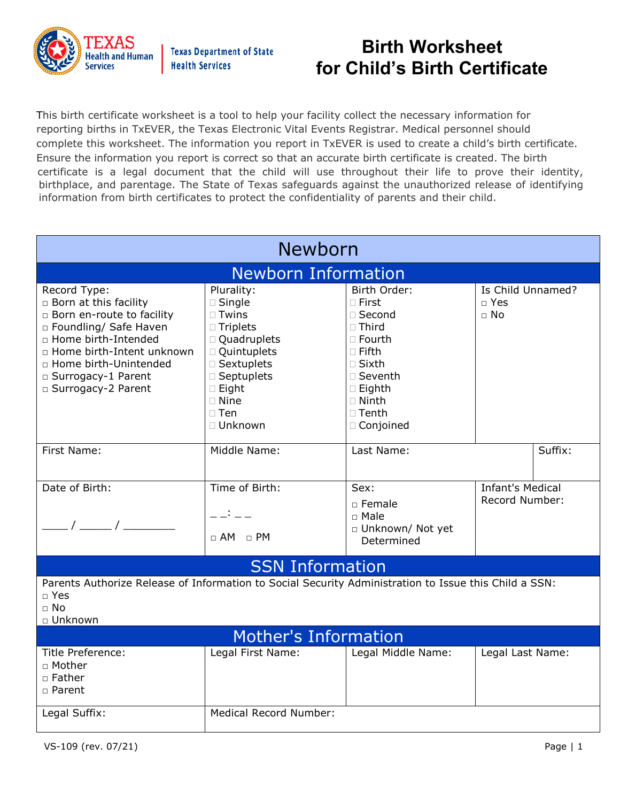

This birth certificate worksheet is a tool to help your facility collect the necessary information for reporting births in TxEVER, the Texas Electronic Vital Events Registrar. Medical personnel should complete this worksheet. The information you report in TxEVER is used to create a child's birth certificate. Ensure the information you report is correct so that an accurate birth certificate is created. The birth certificate is a legal document that the child will use throughout their life to prove their identity, birthplace, and parentage. The State of Texas safeguards against the unauthorized release of identifying information from birth certificates to protect the confidentiality of parents and their child.

| <b>Newborn</b>                                                                                                                                                                                                                       |                                                                                                                                                                                                                |                                                                                                                                                                                       |                                              |         |  |  |  |
|--------------------------------------------------------------------------------------------------------------------------------------------------------------------------------------------------------------------------------------|----------------------------------------------------------------------------------------------------------------------------------------------------------------------------------------------------------------|---------------------------------------------------------------------------------------------------------------------------------------------------------------------------------------|----------------------------------------------|---------|--|--|--|
| <b>Newborn Information</b>                                                                                                                                                                                                           |                                                                                                                                                                                                                |                                                                                                                                                                                       |                                              |         |  |  |  |
| Record Type:<br>□ Born at this facility<br>□ Born en-route to facility<br>□ Foundling/ Safe Haven<br>□ Home birth-Intended<br>□ Home birth-Intent unknown<br>□ Home birth-Unintended<br>□ Surrogacy-1 Parent<br>□ Surrogacy-2 Parent | Plurality:<br>$\square$ Single<br>$\Box$ Twins<br>$\Box$ Triplets<br>□ Quadruplets<br>□ Quintuplets<br>□ Sextuplets<br>$\square$ Septuplets<br>$\square$ Eight<br>$\square$ Nine<br>$\square$ Ten<br>□ Unknown | Birth Order:<br>$\Box$ First<br>□ Second<br>$\Box$ Third<br>□ Fourth<br>$\square$ Fifth<br>$\square$ Sixth<br>$\square$ Seventh<br>$\Box$ Eighth<br>□ Ninth<br>□ Tenth<br>□ Conjoined | Is Child Unnamed?<br>$\Box$ Yes<br>$\Box$ No |         |  |  |  |
| First Name:                                                                                                                                                                                                                          | Middle Name:                                                                                                                                                                                                   | Last Name:                                                                                                                                                                            |                                              | Suffix: |  |  |  |
| Date of Birth:<br>$\sqrt{1}$                                                                                                                                                                                                         | Time of Birth:<br>$\Box$ AM $\Box$ PM                                                                                                                                                                          | Sex:<br>$\square$ Female<br>□ Male<br>□ Unknown/ Not yet<br>Determined                                                                                                                | <b>Infant's Medical</b><br>Record Number:    |         |  |  |  |
|                                                                                                                                                                                                                                      | <b>SSN Information</b>                                                                                                                                                                                         |                                                                                                                                                                                       |                                              |         |  |  |  |
| Parents Authorize Release of Information to Social Security Administration to Issue this Child a SSN:<br>$\Box$ Yes<br>$\Box$ No<br>□ Unknown                                                                                        |                                                                                                                                                                                                                |                                                                                                                                                                                       |                                              |         |  |  |  |
| <b>Mother's Information</b>                                                                                                                                                                                                          |                                                                                                                                                                                                                |                                                                                                                                                                                       |                                              |         |  |  |  |
| Title Preference:<br>□ Mother<br>$\Box$ Father<br>$\Box$ Parent                                                                                                                                                                      | Legal First Name:                                                                                                                                                                                              | Legal Middle Name:                                                                                                                                                                    | Legal Last Name:                             |         |  |  |  |
| Legal Suffix:                                                                                                                                                                                                                        | <b>Medical Record Number:</b>                                                                                                                                                                                  |                                                                                                                                                                                       |                                              |         |  |  |  |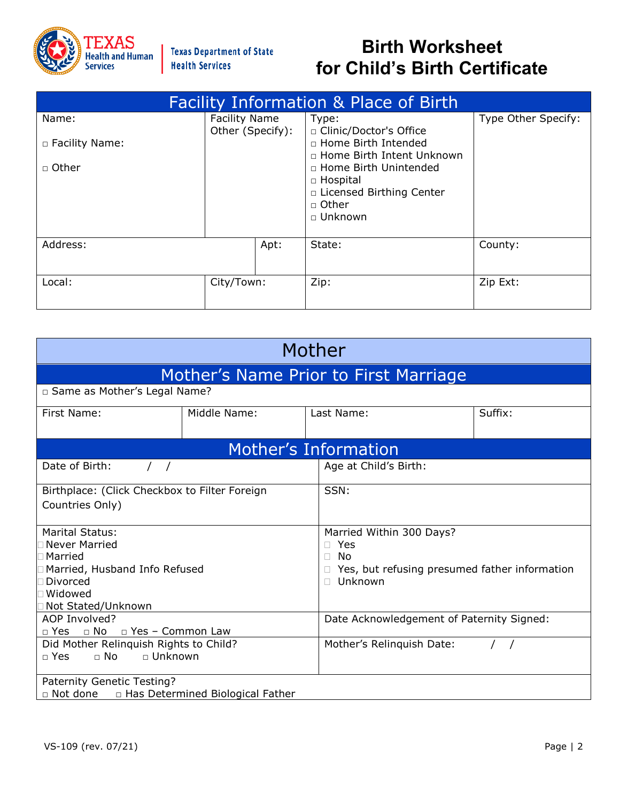

| <b>Facility Information &amp; Place of Birth</b> |                      |                                                                                                                                           |                     |  |
|--------------------------------------------------|----------------------|-------------------------------------------------------------------------------------------------------------------------------------------|---------------------|--|
| Name:                                            | <b>Facility Name</b> | Type:                                                                                                                                     | Type Other Specify: |  |
| □ Facility Name:                                 | Other (Specify):     | □ Clinic/Doctor's Office<br>□ Home Birth Intended                                                                                         |                     |  |
| □ Other                                          |                      | □ Home Birth Intent Unknown<br>□ Home Birth Unintended<br>$\Box$ Hospital<br>□ Licensed Birthing Center<br>$\Box$ Other<br>$\Box$ Unknown |                     |  |
| Address:                                         | Apt:                 | State:                                                                                                                                    | County:             |  |
| Local:                                           | City/Town:           | Zip:                                                                                                                                      | Zip Ext:            |  |

| Mother                                                                                                                           |                                    |                                                                  |                                               |  |  |
|----------------------------------------------------------------------------------------------------------------------------------|------------------------------------|------------------------------------------------------------------|-----------------------------------------------|--|--|
|                                                                                                                                  |                                    | Mother's Name Prior to First Marriage                            |                                               |  |  |
| □ Same as Mother's Legal Name?                                                                                                   |                                    |                                                                  |                                               |  |  |
| First Name:                                                                                                                      | Middle Name:                       | Last Name:                                                       | Suffix:                                       |  |  |
|                                                                                                                                  |                                    | Mother's Information                                             |                                               |  |  |
| Date of Birth:                                                                                                                   |                                    | Age at Child's Birth:                                            |                                               |  |  |
| Birthplace: (Click Checkbox to Filter Foreign<br>Countries Only)                                                                 |                                    | SSN:                                                             |                                               |  |  |
| <b>Marital Status:</b><br>Never Married<br>Married<br>Married, Husband Info Refused<br>Divorced<br>Widowed<br>Not Stated/Unknown |                                    | Married Within 300 Days?<br>Yes<br>No<br>П.<br>Unknown<br>$\Box$ | Yes, but refusing presumed father information |  |  |
| AOP Involved?<br>□ Yes □ No □ Yes - Common Law                                                                                   |                                    |                                                                  | Date Acknowledgement of Paternity Signed:     |  |  |
| Did Mother Relinquish Rights to Child?<br>$\Box$ Yes<br>$\Box$ No<br>□ Unknown                                                   |                                    | Mother's Relinquish Date:                                        |                                               |  |  |
| Paternity Genetic Testing?<br>□ Not done                                                                                         | □ Has Determined Biological Father |                                                                  |                                               |  |  |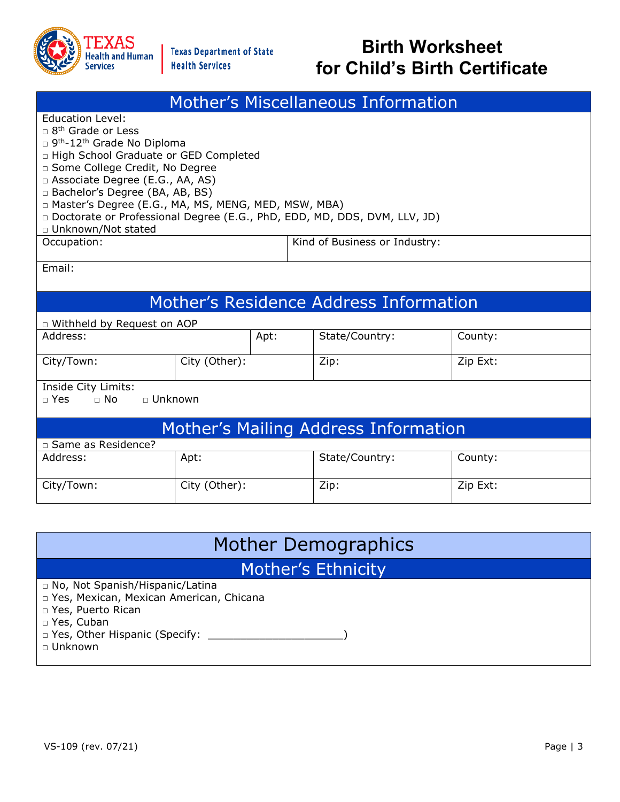

| <b>Mother's Miscellaneous Information</b>                                                                                                                                                                                                                                                                                                                                                                                                    |               |      |                                        |          |  |
|----------------------------------------------------------------------------------------------------------------------------------------------------------------------------------------------------------------------------------------------------------------------------------------------------------------------------------------------------------------------------------------------------------------------------------------------|---------------|------|----------------------------------------|----------|--|
| <b>Education Level:</b><br>$\Box$ 8 <sup>th</sup> Grade or Less<br>□ 9 <sup>th</sup> -12 <sup>th</sup> Grade No Diploma<br>□ High School Graduate or GED Completed<br>□ Some College Credit, No Degree<br>□ Associate Degree (E.G., AA, AS)<br>□ Bachelor's Degree (BA, AB, BS)<br>□ Master's Degree (E.G., MA, MS, MENG, MED, MSW, MBA)<br>Doctorate or Professional Degree (E.G., PhD, EDD, MD, DDS, DVM, LLV, JD)<br>□ Unknown/Not stated |               |      |                                        |          |  |
| Occupation:                                                                                                                                                                                                                                                                                                                                                                                                                                  |               |      | Kind of Business or Industry:          |          |  |
| Email:                                                                                                                                                                                                                                                                                                                                                                                                                                       |               |      |                                        |          |  |
|                                                                                                                                                                                                                                                                                                                                                                                                                                              |               |      | Mother's Residence Address Information |          |  |
| D Withheld by Request on AOP                                                                                                                                                                                                                                                                                                                                                                                                                 |               |      |                                        |          |  |
| Address:                                                                                                                                                                                                                                                                                                                                                                                                                                     |               | Apt: | State/Country:                         | County:  |  |
| City/Town:                                                                                                                                                                                                                                                                                                                                                                                                                                   | City (Other): |      | Zip:                                   | Zip Ext: |  |
| Inside City Limits:<br>$\Box$ Yes<br>$\Box$ No<br>□ Unknown                                                                                                                                                                                                                                                                                                                                                                                  |               |      |                                        |          |  |
| Mother's Mailing Address Information<br>□ Same as Residence?                                                                                                                                                                                                                                                                                                                                                                                 |               |      |                                        |          |  |
| Address:                                                                                                                                                                                                                                                                                                                                                                                                                                     | Apt:          |      | State/Country:                         | County:  |  |
| City/Town:                                                                                                                                                                                                                                                                                                                                                                                                                                   | City (Other): |      | Zip:                                   | Zip Ext: |  |
| $\mathbf{r}$<br><b>NA II</b>                                                                                                                                                                                                                                                                                                                                                                                                                 |               |      |                                        |          |  |

| Mother Demographics                                                                                                                     |  |  |  |
|-----------------------------------------------------------------------------------------------------------------------------------------|--|--|--|
| Mother's Ethnicity                                                                                                                      |  |  |  |
| □ No, Not Spanish/Hispanic/Latina<br>p Yes, Mexican, Mexican American, Chicana<br>□ Yes, Puerto Rican<br>□ Yes, Cuban<br>$\Box$ Unknown |  |  |  |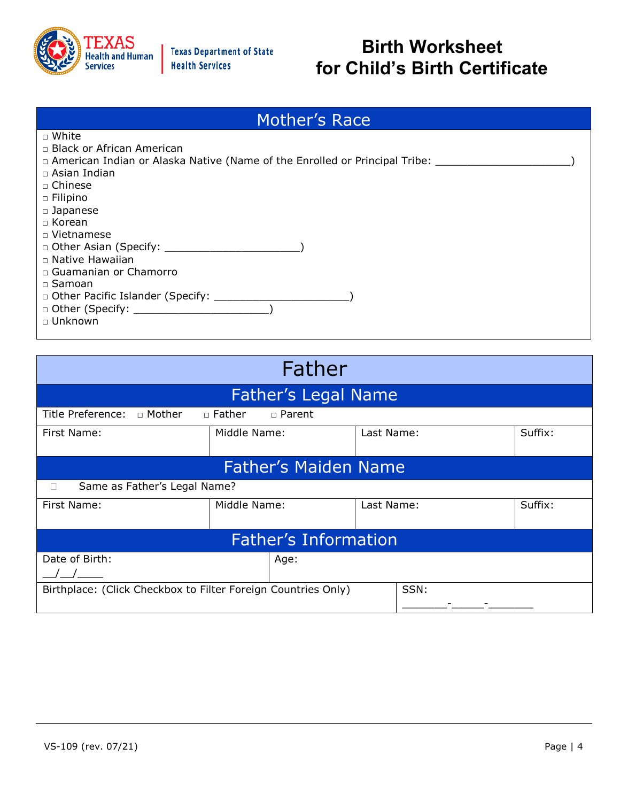

| Mother's Race                                                                                                                                                                                                                      |  |  |  |  |
|------------------------------------------------------------------------------------------------------------------------------------------------------------------------------------------------------------------------------------|--|--|--|--|
| $\sqcap$ White                                                                                                                                                                                                                     |  |  |  |  |
| □ Black or African American                                                                                                                                                                                                        |  |  |  |  |
| □ American Indian or Alaska Native (Name of the Enrolled or Principal Tribe: _________________________________                                                                                                                     |  |  |  |  |
| $\Box$ Asian Indian                                                                                                                                                                                                                |  |  |  |  |
| □ Chinese                                                                                                                                                                                                                          |  |  |  |  |
| $\Box$ Filipino                                                                                                                                                                                                                    |  |  |  |  |
| $\square$ Japanese                                                                                                                                                                                                                 |  |  |  |  |
| $\Box$ Korean                                                                                                                                                                                                                      |  |  |  |  |
| □ Vietnamese                                                                                                                                                                                                                       |  |  |  |  |
| □ Other Asian (Specify: <u>University:</u> University: University: University: University: University: University: University: University: University: University: University: University: University: University: University: Uni |  |  |  |  |
| $\Box$ Native Hawaiian                                                                                                                                                                                                             |  |  |  |  |
| □ Guamanian or Chamorro                                                                                                                                                                                                            |  |  |  |  |
| $\square$ Samoan                                                                                                                                                                                                                   |  |  |  |  |
|                                                                                                                                                                                                                                    |  |  |  |  |
|                                                                                                                                                                                                                                    |  |  |  |  |
| □ Unknown                                                                                                                                                                                                                          |  |  |  |  |

| Father                                                                |                                |            |         |  |  |  |  |
|-----------------------------------------------------------------------|--------------------------------|------------|---------|--|--|--|--|
|                                                                       | <b>Father's Legal Name</b>     |            |         |  |  |  |  |
| Title Preference: $\Box$ Mother                                       | $\Box$ Father<br>$\Box$ Parent |            |         |  |  |  |  |
| First Name:                                                           | Middle Name:                   | Last Name: | Suffix: |  |  |  |  |
|                                                                       |                                |            |         |  |  |  |  |
|                                                                       | <b>Father's Maiden Name</b>    |            |         |  |  |  |  |
| Same as Father's Legal Name?<br>П                                     |                                |            |         |  |  |  |  |
| First Name:                                                           | Middle Name:                   | Last Name: | Suffix: |  |  |  |  |
|                                                                       |                                |            |         |  |  |  |  |
| <b>Father's Information</b>                                           |                                |            |         |  |  |  |  |
| Date of Birth:<br>Age:                                                |                                |            |         |  |  |  |  |
|                                                                       |                                |            |         |  |  |  |  |
| SSN:<br>Birthplace: (Click Checkbox to Filter Foreign Countries Only) |                                |            |         |  |  |  |  |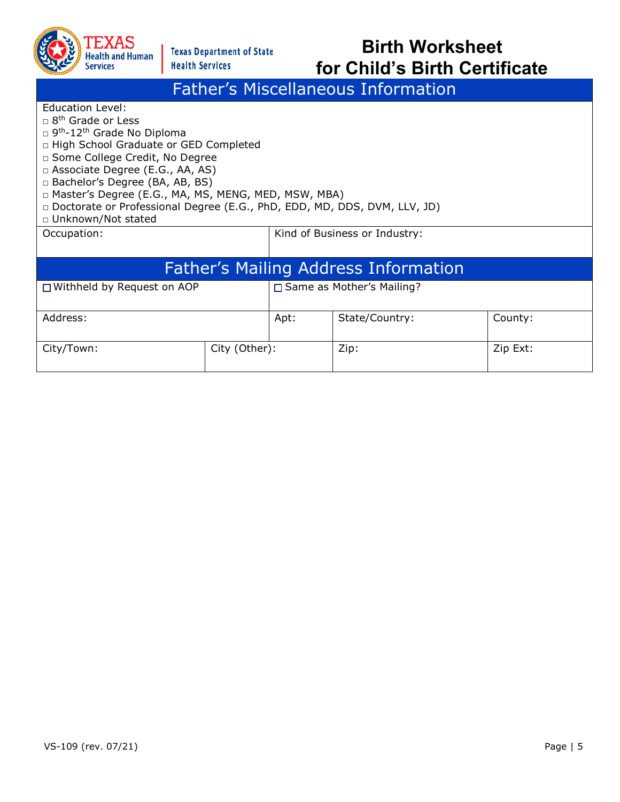

#### Father's Miscellaneous Information

Education Level:

- $\Box$  8<sup>th</sup> Grade or Less
- □ 9<sup>th</sup>-12<sup>th</sup> Grade No Diploma
- □ High School Graduate or GED Completed
- □ Some College Credit, No Degree
- □ Associate Degree (E.G., AA, AS)
- □ Bachelor's Degree (BA, AB, BS)
- □ Master's Degree (E.G., MA, MS, MENG, MED, MSW, MBA)
- □ Doctorate or Professional Degree (E.G., PhD, EDD, MD, DDS, DVM, LLV, JD)
- □ Unknown/Not stated

Occupation:  $\vert$  Kind of Business or Industry:

| <b>Father's Mailing Address Information</b>                 |  |      |                |          |
|-------------------------------------------------------------|--|------|----------------|----------|
| □ Same as Mother's Mailing?<br>□ Withheld by Request on AOP |  |      |                |          |
| Address:                                                    |  | Apt: | State/Country: | County:  |
| City (Other):<br>City/Town:                                 |  |      | Zip:           | Zip Ext: |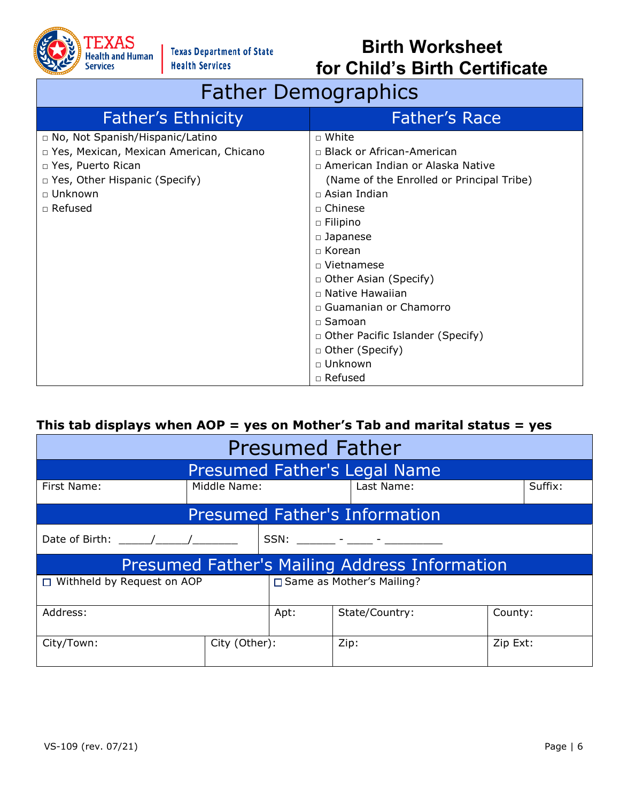

## Father Demographics

| <b>Father's Ethnicity</b>                 | <b>Father's Race</b>                      |
|-------------------------------------------|-------------------------------------------|
| □ No, Not Spanish/Hispanic/Latino         | □ White                                   |
| □ Yes, Mexican, Mexican American, Chicano | □ Black or African-American               |
| □ Yes, Puerto Rican                       | n American Indian or Alaska Native        |
| □ Yes, Other Hispanic (Specify)           | (Name of the Enrolled or Principal Tribe) |
| $\sqcap$ Unknown                          | $\Box$ Asian Indian                       |
| □ Refused                                 | □ Chinese                                 |
|                                           | $\Box$ Filipino                           |
|                                           | $\Box$ Japanese                           |
|                                           | $\Box$ Korean                             |
|                                           | $\Box$ Vietnamese                         |
|                                           | □ Other Asian (Specify)                   |
|                                           | $\Box$ Native Hawaiian                    |
|                                           | □ Guamanian or Chamorro                   |
|                                           | $\Box$ Samoan                             |
|                                           | $\Box$ Other Pacific Islander (Specify)   |
|                                           | □ Other (Specify)                         |
|                                           | $\sqcap$ Unknown                          |
|                                           | $\Box$ Refused                            |

#### **This tab displays when AOP = yes on Mother's Tab and marital status = yes**

| <b>Presumed Father</b>                                           |               |  |                                                      |          |         |
|------------------------------------------------------------------|---------------|--|------------------------------------------------------|----------|---------|
|                                                                  |               |  | <b>Presumed Father's Legal Name</b>                  |          |         |
| First Name:                                                      | Middle Name:  |  | Last Name:                                           |          | Suffix: |
|                                                                  |               |  | <b>Presumed Father's Information</b>                 |          |         |
| Date of Birth: ( )<br>SSN: ______ - ____ - _____ - ________      |               |  |                                                      |          |         |
|                                                                  |               |  | <b>Presumed Father's Mailing Address Information</b> |          |         |
| □ Same as Mother's Mailing?<br>$\Box$ Withheld by Request on AOP |               |  |                                                      |          |         |
| Address:<br>State/Country:<br>County:<br>Apt:                    |               |  |                                                      |          |         |
| City/Town:                                                       | City (Other): |  | Zip:                                                 | Zip Ext: |         |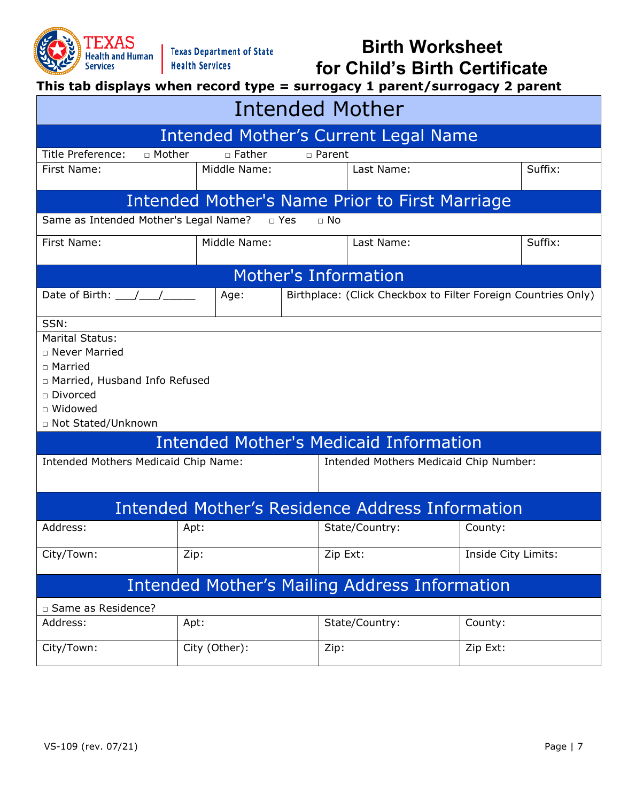

**This tab displays when record type = surrogacy 1 parent/surrogacy 2 parent**

| <b>Intended Mother</b>                                                                                                                       |               |                         |                                                        |                                                               |  |  |
|----------------------------------------------------------------------------------------------------------------------------------------------|---------------|-------------------------|--------------------------------------------------------|---------------------------------------------------------------|--|--|
|                                                                                                                                              |               |                         | Intended Mother's Current Legal Name                   |                                                               |  |  |
| Title Preference:<br>□ Mother                                                                                                                | □ Father      | □ Parent                |                                                        |                                                               |  |  |
| First Name:                                                                                                                                  | Middle Name:  |                         | Last Name:                                             | Suffix:                                                       |  |  |
|                                                                                                                                              |               |                         | Intended Mother's Name Prior to First Marriage         |                                                               |  |  |
| Same as Intended Mother's Legal Name?                                                                                                        |               | $\Box$ Yes<br>$\Box$ No |                                                        |                                                               |  |  |
| First Name:                                                                                                                                  | Middle Name:  |                         | Last Name:                                             | Suffix:                                                       |  |  |
|                                                                                                                                              |               | Mother's Information    |                                                        |                                                               |  |  |
| Date of Birth: $\angle$                                                                                                                      | Age:          |                         |                                                        | Birthplace: (Click Checkbox to Filter Foreign Countries Only) |  |  |
| SSN:                                                                                                                                         |               |                         |                                                        |                                                               |  |  |
| <b>Marital Status:</b><br>□ Never Married<br>□ Married<br>n Married, Husband Info Refused<br>□ Divorced<br>□ Widowed<br>□ Not Stated/Unknown |               |                         |                                                        |                                                               |  |  |
|                                                                                                                                              |               |                         | <b>Intended Mother's Medicaid Information</b>          |                                                               |  |  |
| Intended Mothers Medicaid Chip Name:                                                                                                         |               |                         | Intended Mothers Medicaid Chip Number:                 |                                                               |  |  |
|                                                                                                                                              |               |                         | <b>Intended Mother's Residence Address Information</b> |                                                               |  |  |
| Address:                                                                                                                                     | Apt:          |                         | State/Country:                                         | County:                                                       |  |  |
| City/Town:                                                                                                                                   | Zip:          | Zip Ext:                |                                                        | Inside City Limits:                                           |  |  |
| <b>Intended Mother's Mailing Address Information</b>                                                                                         |               |                         |                                                        |                                                               |  |  |
| □ Same as Residence?                                                                                                                         |               |                         |                                                        |                                                               |  |  |
| Address:                                                                                                                                     | Apt:          |                         | State/Country:                                         | County:                                                       |  |  |
| City/Town:                                                                                                                                   | City (Other): | Zip:                    |                                                        | Zip Ext:                                                      |  |  |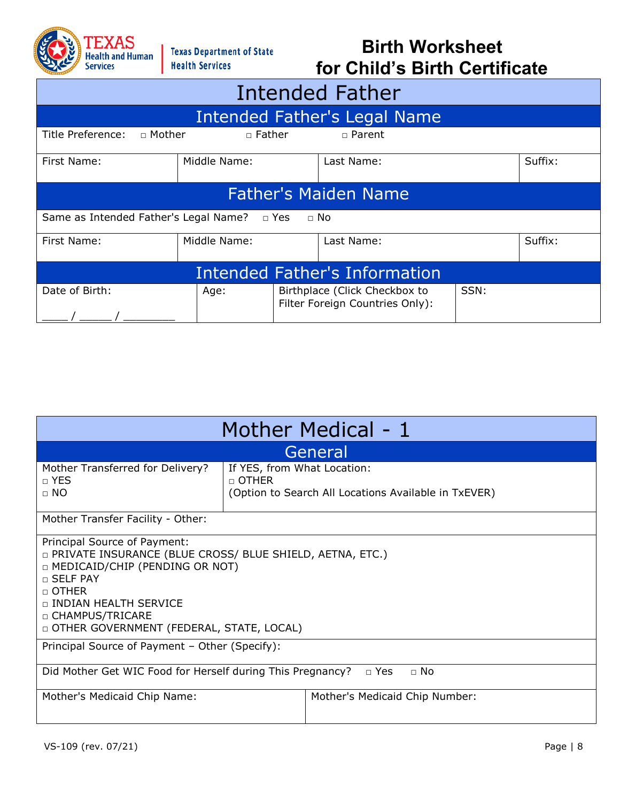

| <b>Intended Father</b>                                                                             |                             |                              |  |         |  |  |
|----------------------------------------------------------------------------------------------------|-----------------------------|------------------------------|--|---------|--|--|
|                                                                                                    |                             | Intended Father's Legal Name |  |         |  |  |
| Title Preference:<br>$\sqcap$ Mother                                                               | $\Box$ Father               | □ Parent                     |  |         |  |  |
| First Name:                                                                                        | Middle Name:                | Last Name:                   |  | Suffix: |  |  |
|                                                                                                    | <b>Father's Maiden Name</b> |                              |  |         |  |  |
| Same as Intended Father's Legal Name? □ Yes                                                        |                             | $\Box$ No                    |  |         |  |  |
| Middle Name:<br>Suffix:<br>Last Name:<br>First Name:                                               |                             |                              |  |         |  |  |
| <b>Intended Father's Information</b>                                                               |                             |                              |  |         |  |  |
| Date of Birth:<br>Birthplace (Click Checkbox to<br>SSN:<br>Age:<br>Filter Foreign Countries Only): |                             |                              |  |         |  |  |

| Mother Medical - 1                                                                                                                                                                                                                                         |                                                                                                       |  |  |  |  |
|------------------------------------------------------------------------------------------------------------------------------------------------------------------------------------------------------------------------------------------------------------|-------------------------------------------------------------------------------------------------------|--|--|--|--|
| General                                                                                                                                                                                                                                                    |                                                                                                       |  |  |  |  |
| Mother Transferred for Delivery?<br>$\sqcap$ YES<br>$\Box$ NO                                                                                                                                                                                              | If YES, from What Location:<br>$\sqcap$ OTHER<br>(Option to Search All Locations Available in TxEVER) |  |  |  |  |
| Mother Transfer Facility - Other:                                                                                                                                                                                                                          |                                                                                                       |  |  |  |  |
| Principal Source of Payment:<br>D PRIVATE INSURANCE (BLUE CROSS/ BLUE SHIELD, AETNA, ETC.)<br>□ MEDICAID/CHIP (PENDING OR NOT)<br>□ SELF PAY<br>$\Box$ OTHER<br>□ INDIAN HEALTH SERVICE<br>□ CHAMPUS/TRICARE<br>D OTHER GOVERNMENT (FEDERAL, STATE, LOCAL) |                                                                                                       |  |  |  |  |
| Principal Source of Payment - Other (Specify):                                                                                                                                                                                                             |                                                                                                       |  |  |  |  |
| Did Mother Get WIC Food for Herself during This Pregnancy?<br>$\Box$ Yes<br>$\sqcap$ No                                                                                                                                                                    |                                                                                                       |  |  |  |  |
| Mother's Medicaid Chip Name:                                                                                                                                                                                                                               | Mother's Medicaid Chip Number:                                                                        |  |  |  |  |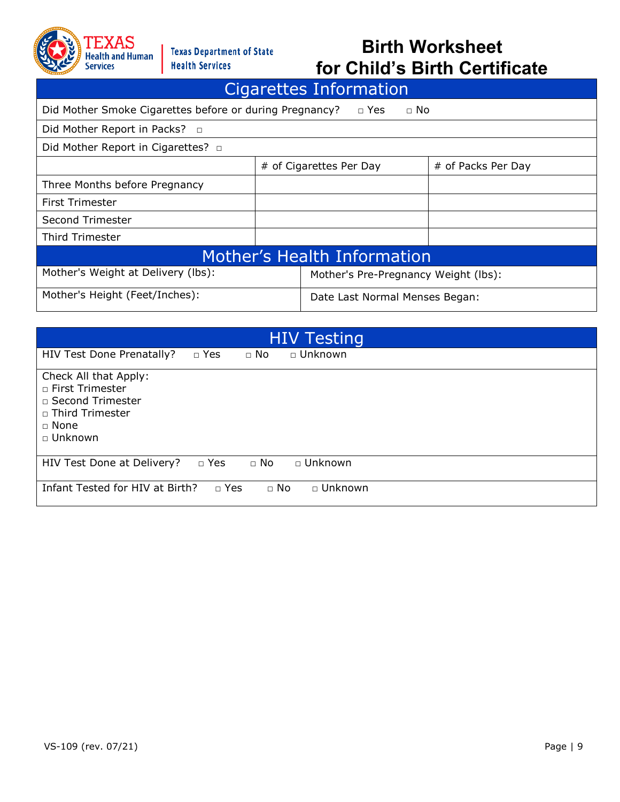

| Cigarettes Information                                                             |  |                                      |  |  |  |
|------------------------------------------------------------------------------------|--|--------------------------------------|--|--|--|
| Did Mother Smoke Cigarettes before or during Pregnancy?<br>$\Box$ Yes<br>$\Box$ No |  |                                      |  |  |  |
|                                                                                    |  |                                      |  |  |  |
| Did Mother Report in Cigarettes? □                                                 |  |                                      |  |  |  |
| # of Cigarettes Per Day<br># of Packs Per Day                                      |  |                                      |  |  |  |
|                                                                                    |  |                                      |  |  |  |
|                                                                                    |  |                                      |  |  |  |
|                                                                                    |  |                                      |  |  |  |
|                                                                                    |  |                                      |  |  |  |
| Mother's Health Information                                                        |  |                                      |  |  |  |
| Mother's Weight at Delivery (lbs):                                                 |  | Mother's Pre-Pregnancy Weight (lbs): |  |  |  |
| Mother's Height (Feet/Inches):                                                     |  | Date Last Normal Menses Began:       |  |  |  |
|                                                                                    |  |                                      |  |  |  |

| <b>HIV Testing</b>                                                                                           |  |  |  |  |  |
|--------------------------------------------------------------------------------------------------------------|--|--|--|--|--|
| □ Unknown<br>HIV Test Done Prenatally?<br>$\Box$ Yes<br>$\Box$ No                                            |  |  |  |  |  |
| Check All that Apply:<br>□ First Trimester<br>□ Second Trimester<br>□ Third Trimester<br>□ None<br>□ Unknown |  |  |  |  |  |
| HIV Test Done at Delivery?<br>$\Box$ Yes<br>$\Box$ No<br>□ Unknown                                           |  |  |  |  |  |
| Infant Tested for HIV at Birth?<br>$\Box$ No<br>□ Unknown<br>$\Box$ Yes                                      |  |  |  |  |  |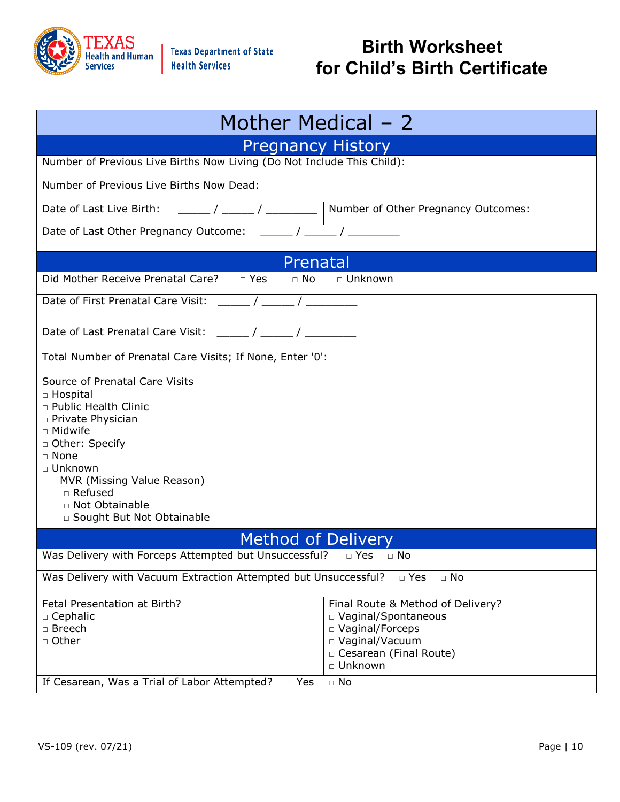

| Mother Medical – 2                                                                                                                                                                                                                                                                           |  |  |  |  |  |
|----------------------------------------------------------------------------------------------------------------------------------------------------------------------------------------------------------------------------------------------------------------------------------------------|--|--|--|--|--|
| <b>Pregnancy History</b>                                                                                                                                                                                                                                                                     |  |  |  |  |  |
| Number of Previous Live Births Now Living (Do Not Include This Child):                                                                                                                                                                                                                       |  |  |  |  |  |
| Number of Previous Live Births Now Dead:                                                                                                                                                                                                                                                     |  |  |  |  |  |
| Date of Last Live Birth:<br>Number of Other Pregnancy Outcomes:                                                                                                                                                                                                                              |  |  |  |  |  |
| Date of Last Other Pregnancy Outcome:                                                                                                                                                                                                                                                        |  |  |  |  |  |
| Prenatal                                                                                                                                                                                                                                                                                     |  |  |  |  |  |
| Did Mother Receive Prenatal Care? □ Yes<br>$\Box$ No<br>□ Unknown                                                                                                                                                                                                                            |  |  |  |  |  |
| Date of First Prenatal Care Visit:<br>$\sqrt{2}$                                                                                                                                                                                                                                             |  |  |  |  |  |
| Date of Last Prenatal Care Visit:                                                                                                                                                                                                                                                            |  |  |  |  |  |
| Total Number of Prenatal Care Visits; If None, Enter '0':                                                                                                                                                                                                                                    |  |  |  |  |  |
| Source of Prenatal Care Visits<br>□ Hospital<br>n Public Health Clinic<br>□ Private Physician<br>□ Midwife<br>□ Other: Specify<br>$\Box$ None<br>□ Unknown<br>MVR (Missing Value Reason)<br>$\Box$ Refused<br>□ Not Obtainable<br>□ Sought But Not Obtainable                                |  |  |  |  |  |
| <b>Method of Delivery</b>                                                                                                                                                                                                                                                                    |  |  |  |  |  |
| Was Delivery with Forceps Attempted but Unsuccessful?<br>$\Box$ Yes<br>$\Box$ No                                                                                                                                                                                                             |  |  |  |  |  |
| Was Delivery with Vacuum Extraction Attempted but Unsuccessful?<br>$\Box$ Yes<br>$\Box$ No                                                                                                                                                                                                   |  |  |  |  |  |
| Fetal Presentation at Birth?<br>Final Route & Method of Delivery?<br>□ Cephalic<br>□ Vaginal/Spontaneous<br>□ Breech<br>□ Vaginal/Forceps<br>□ Other<br>□ Vaginal/Vacuum<br>□ Cesarean (Final Route)<br>□ Unknown<br>If Cesarean, Was a Trial of Labor Attempted?<br>$\Box$ No<br>$\Box$ Yes |  |  |  |  |  |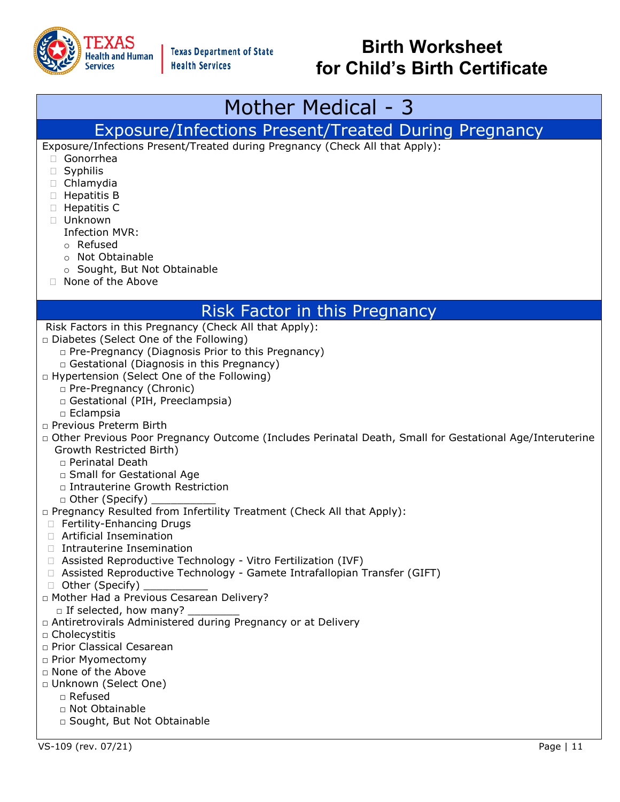

## Mother Medical - 3

#### Exposure/Infections Present/Treated During Pregnancy

Exposure/Infections Present/Treated during Pregnancy (Check All that Apply):

- Gonorrhea
- Syphilis
- Chlamydia
- □ Hepatitis B
- □ Hepatitis C
- Unknown
	- Infection MVR:
	- o Refused
	- o Not Obtainable
	- o Sought, But Not Obtainable
- □ None of the Above

#### Risk Factor in this Pregnancy

- Risk Factors in this Pregnancy (Check All that Apply):
- □ Diabetes (Select One of the Following)
	- □ Pre-Pregnancy (Diagnosis Prior to this Pregnancy)
	- □ Gestational (Diagnosis in this Pregnancy)
- □ Hypertension (Select One of the Following)
	- □ Pre-Pregnancy (Chronic)
	- □ Gestational (PIH, Preeclampsia)
	- □ Eclampsia
- □ Previous Preterm Birth
- □ Other Previous Poor Pregnancy Outcome (Includes Perinatal Death, Small for Gestational Age/Interuterine Growth Restricted Birth)
	- □ Perinatal Death
	- □ Small for Gestational Age
	- □ Intrauterine Growth Restriction
	- $\Box$  Other (Specify)
- □ Pregnancy Resulted from Infertility Treatment (Check All that Apply):
- □ Fertility-Enhancing Drugs
- Artificial Insemination
- □ Intrauterine Insemination
- Assisted Reproductive Technology Vitro Fertilization (IVF)
- Assisted Reproductive Technology Gamete Intrafallopian Transfer (GIFT)
- □ Other (Specify)
- □ Mother Had a Previous Cesarean Delivery?
	- $\Box$  If selected, how many?
- □ Antiretrovirals Administered during Pregnancy or at Delivery
- □ Cholecystitis
- □ Prior Classical Cesarean
- □ Prior Myomectomy
- □ None of the Above
- □ Unknown (Select One)
	- □ Refused
	- □ Not Obtainable
	- □ Sought, But Not Obtainable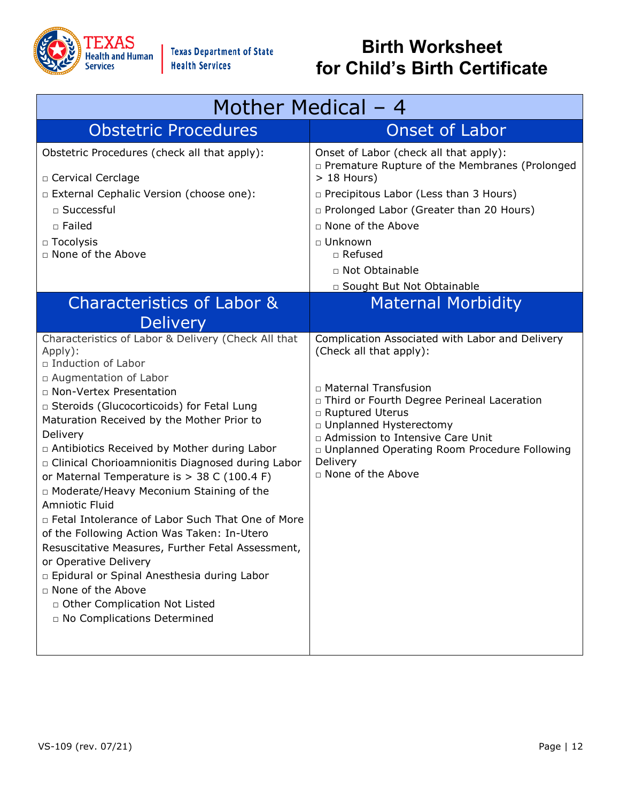

| Mother Medical – 4                                                                                                                                                                                                                                                                                                                                                                                                                                                                                                                                                                                                                                                                                                                                                                                                            |                                                                                                                                                                                                                                                                                                                                  |  |  |
|-------------------------------------------------------------------------------------------------------------------------------------------------------------------------------------------------------------------------------------------------------------------------------------------------------------------------------------------------------------------------------------------------------------------------------------------------------------------------------------------------------------------------------------------------------------------------------------------------------------------------------------------------------------------------------------------------------------------------------------------------------------------------------------------------------------------------------|----------------------------------------------------------------------------------------------------------------------------------------------------------------------------------------------------------------------------------------------------------------------------------------------------------------------------------|--|--|
| <b>Obstetric Procedures</b>                                                                                                                                                                                                                                                                                                                                                                                                                                                                                                                                                                                                                                                                                                                                                                                                   | <b>Onset of Labor</b>                                                                                                                                                                                                                                                                                                            |  |  |
| Obstetric Procedures (check all that apply):<br>□ Cervical Cerclage<br>□ External Cephalic Version (choose one):<br>□ Successful<br>□ Failed<br>$\Box$ Tocolysis<br>□ None of the Above                                                                                                                                                                                                                                                                                                                                                                                                                                                                                                                                                                                                                                       | Onset of Labor (check all that apply):<br>□ Premature Rupture of the Membranes (Prolonged<br>$> 18$ Hours)<br>n Precipitous Labor (Less than 3 Hours)<br>n Prolonged Labor (Greater than 20 Hours)<br>□ None of the Above<br>□ Unknown<br>$\Box$ Refused<br>□ Not Obtainable<br>□ Sought But Not Obtainable                      |  |  |
| Characteristics of Labor &                                                                                                                                                                                                                                                                                                                                                                                                                                                                                                                                                                                                                                                                                                                                                                                                    | <b>Maternal Morbidity</b>                                                                                                                                                                                                                                                                                                        |  |  |
| <b>Delivery</b><br>Characteristics of Labor & Delivery (Check All that<br>Apply):<br>□ Induction of Labor<br>□ Augmentation of Labor<br>□ Non-Vertex Presentation<br>□ Steroids (Glucocorticoids) for Fetal Lung<br>Maturation Received by the Mother Prior to<br>Delivery<br>□ Antibiotics Received by Mother during Labor<br>¤ Clinical Chorioamnionitis Diagnosed during Labor<br>or Maternal Temperature is > 38 C (100.4 F)<br>□ Moderate/Heavy Meconium Staining of the<br>Amniotic Fluid<br>□ Fetal Intolerance of Labor Such That One of More<br>of the Following Action Was Taken: In-Utero<br>Resuscitative Measures, Further Fetal Assessment,<br>or Operative Delivery<br>□ Epidural or Spinal Anesthesia during Labor<br>□ None of the Above<br>D Other Complication Not Listed<br>n No Complications Determined | Complication Associated with Labor and Delivery<br>(Check all that apply):<br>□ Maternal Transfusion<br>□ Third or Fourth Degree Perineal Laceration<br>□ Ruptured Uterus<br>□ Unplanned Hysterectomy<br>n Admission to Intensive Care Unit<br>□ Unplanned Operating Room Procedure Following<br>Delivery<br>□ None of the Above |  |  |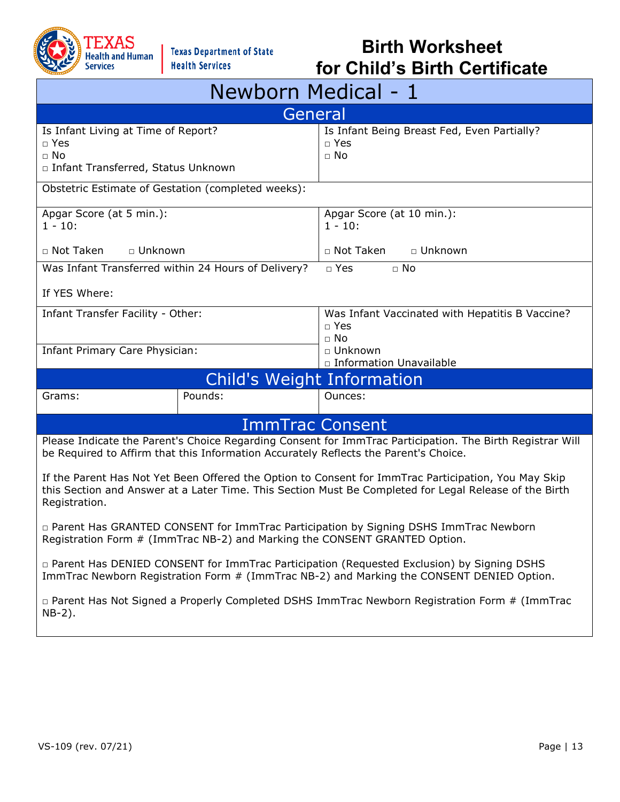

| Newborn Medical - 1                                                                                                                                                                                                             |                            |                                                                        |  |  |  |
|---------------------------------------------------------------------------------------------------------------------------------------------------------------------------------------------------------------------------------|----------------------------|------------------------------------------------------------------------|--|--|--|
|                                                                                                                                                                                                                                 | General                    |                                                                        |  |  |  |
| Is Infant Living at Time of Report?<br>$\Box$ Yes<br>$\Box$ No<br>□ Infant Transferred, Status Unknown                                                                                                                          |                            | Is Infant Being Breast Fed, Even Partially?<br>$\Box$ Yes<br>$\Box$ No |  |  |  |
| Obstetric Estimate of Gestation (completed weeks):                                                                                                                                                                              |                            |                                                                        |  |  |  |
| Apgar Score (at 5 min.):<br>$1 - 10$ :                                                                                                                                                                                          |                            | Apgar Score (at 10 min.):<br>$1 - 10$ :                                |  |  |  |
| □ Not Taken<br>$\Box$ Unknown                                                                                                                                                                                                   |                            | □ Not Taken<br>□ Unknown                                               |  |  |  |
| Was Infant Transferred within 24 Hours of Delivery?                                                                                                                                                                             |                            | $\Box$ Yes<br>$\sqcap$ No                                              |  |  |  |
| If YES Where:                                                                                                                                                                                                                   |                            |                                                                        |  |  |  |
| Infant Transfer Facility - Other:                                                                                                                                                                                               |                            | Was Infant Vaccinated with Hepatitis B Vaccine?<br>□ Yes<br>$\Box$ No  |  |  |  |
| Infant Primary Care Physician:                                                                                                                                                                                                  |                            | □ Unknown<br>□ Information Unavailable                                 |  |  |  |
|                                                                                                                                                                                                                                 | Child's Weight Information |                                                                        |  |  |  |
| Grams:                                                                                                                                                                                                                          | Pounds:                    | Ounces:                                                                |  |  |  |
|                                                                                                                                                                                                                                 | <b>ImmTrac Consent</b>     |                                                                        |  |  |  |
| Please Indicate the Parent's Choice Regarding Consent for ImmTrac Participation. The Birth Registrar Will<br>be Required to Affirm that this Information Accurately Reflects the Parent's Choice.                               |                            |                                                                        |  |  |  |
| If the Parent Has Not Yet Been Offered the Option to Consent for ImmTrac Participation, You May Skip<br>this Section and Answer at a Later Time. This Section Must Be Completed for Legal Release of the Birth<br>Registration. |                            |                                                                        |  |  |  |
| □ Parent Has GRANTED CONSENT for ImmTrac Participation by Signing DSHS ImmTrac Newborn<br>Registration Form # (ImmTrac NB-2) and Marking the CONSENT GRANTED Option.                                                            |                            |                                                                        |  |  |  |
| □ Parent Has DENIED CONSENT for ImmTrac Participation (Requested Exclusion) by Signing DSHS<br>ImmTrac Newborn Registration Form # (ImmTrac NB-2) and Marking the CONSENT DENIED Option.                                        |                            |                                                                        |  |  |  |
| $\Box$ Parent Has Not Signed a Properly Completed DSHS ImmTrac Newborn Registration Form # (ImmTrac<br>$NB-2$ ).                                                                                                                |                            |                                                                        |  |  |  |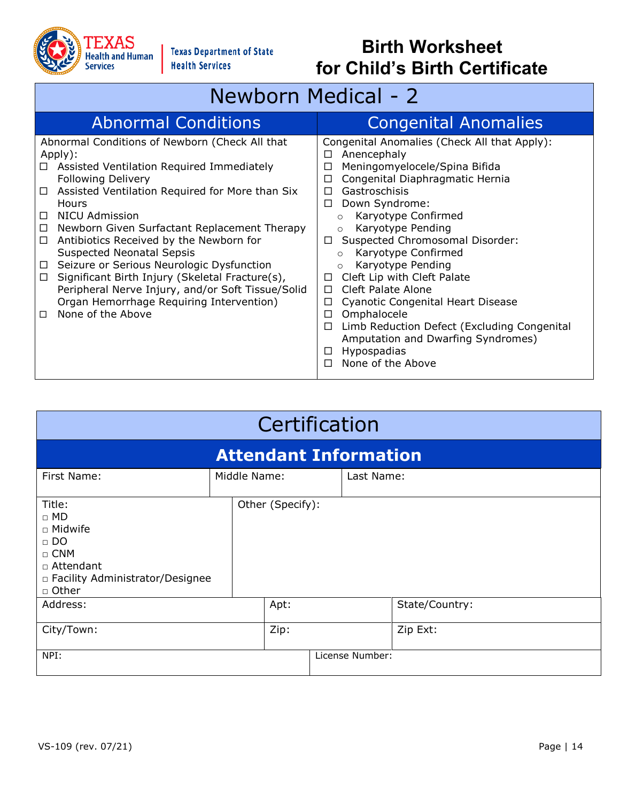

# Newborn Medical - 2

| <b>Abnormal Conditions</b>                                                                                                                                                                                                                                                                                                                                                                                                                                                                                                                                                                                                              | <b>Congenital Anomalies</b>                                                                                                                                                                                                                                                                                                                                                                                                                                                                                                                                                                                                                          |
|-----------------------------------------------------------------------------------------------------------------------------------------------------------------------------------------------------------------------------------------------------------------------------------------------------------------------------------------------------------------------------------------------------------------------------------------------------------------------------------------------------------------------------------------------------------------------------------------------------------------------------------------|------------------------------------------------------------------------------------------------------------------------------------------------------------------------------------------------------------------------------------------------------------------------------------------------------------------------------------------------------------------------------------------------------------------------------------------------------------------------------------------------------------------------------------------------------------------------------------------------------------------------------------------------------|
| Abnormal Conditions of Newborn (Check All that<br>Apply):<br>Assisted Ventilation Required Immediately<br>□<br><b>Following Delivery</b><br>Assisted Ventilation Required for More than Six<br>$\Box$<br>Hours<br>NICU Admission<br>П<br>Newborn Given Surfactant Replacement Therapy<br>$\Box$<br>Antibiotics Received by the Newborn for<br>□<br><b>Suspected Neonatal Sepsis</b><br>Seizure or Serious Neurologic Dysfunction<br>$\Box$<br>Significant Birth Injury (Skeletal Fracture(s),<br>$\Box$<br>Peripheral Nerve Injury, and/or Soft Tissue/Solid<br>Organ Hemorrhage Requiring Intervention)<br>None of the Above<br>$\Box$ | Congenital Anomalies (Check All that Apply):<br>Anencephaly<br>□<br>Meningomyelocele/Spina Bifida<br>П<br>Congenital Diaphragmatic Hernia<br>□<br>Gastroschisis<br>п<br>Down Syndrome:<br>□<br>Karyotype Confirmed<br>$\circ$<br>Karyotype Pending<br>$\circ$<br>Suspected Chromosomal Disorder:<br>П<br>Karyotype Confirmed<br>$\circ$<br>Karyotype Pending<br>$\Omega$<br>Cleft Lip with Cleft Palate<br>□<br>Cleft Palate Alone<br>$\Box$<br><b>Cyanotic Congenital Heart Disease</b><br>□<br>Omphalocele<br>□<br>Limb Reduction Defect (Excluding Congenital<br>□<br>Amputation and Dwarfing Syndromes)<br>Hypospadias<br>None of the Above<br>п |

| Certification                                                                                                              |  |                  |  |                 |                |
|----------------------------------------------------------------------------------------------------------------------------|--|------------------|--|-----------------|----------------|
| <b>Attendant Information</b>                                                                                               |  |                  |  |                 |                |
| First Name:                                                                                                                |  | Middle Name:     |  | Last Name:      |                |
| Title:<br>$\Box$ MD<br>□ Midwife<br>$\Box$ DO<br>$\Box$ CNM<br>□ Attendant<br>□ Facility Administrator/Designee<br>□ Other |  | Other (Specify): |  |                 |                |
| Address:                                                                                                                   |  | Apt:             |  |                 | State/Country: |
| City/Town:                                                                                                                 |  | Zip:             |  |                 | Zip Ext:       |
| NPI:                                                                                                                       |  |                  |  | License Number: |                |